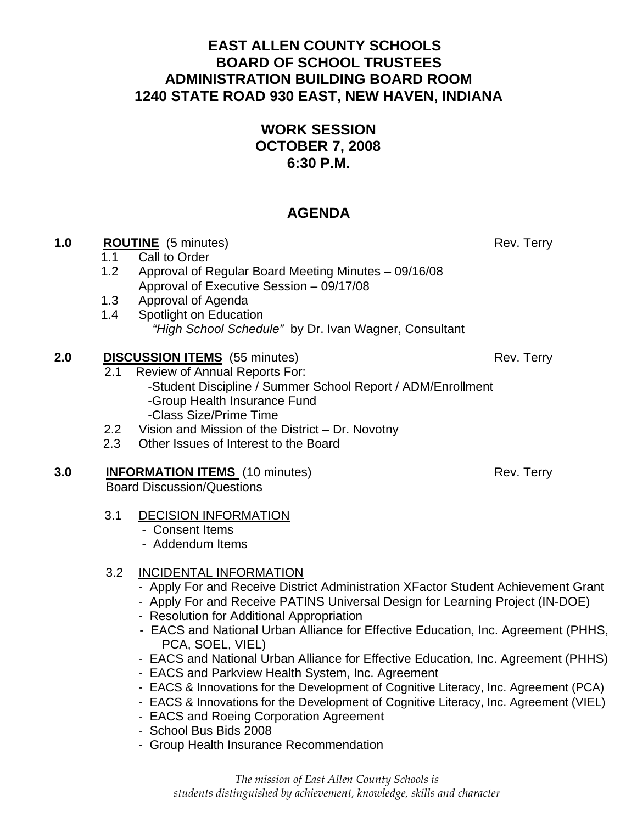## **EAST ALLEN COUNTY SCHOOLS BOARD OF SCHOOL TRUSTEES ADMINISTRATION BUILDING BOARD ROOM 1240 STATE ROAD 930 EAST, NEW HAVEN, INDIANA**

# **WORK SESSION OCTOBER 7, 2008 6:30 P.M.**

# **AGENDA**

### **1.0 ROUTINE** (5 minutes) Rev. Terry

- 1.1Call to Order
- 1.2 Approval of Regular Board Meeting Minutes 09/16/08 Approval of Executive Session – 09/17/08
- 1.3 Approval of Agenda
- 1.4 Spotlight on Education *"High School Schedule"* by Dr. Ivan Wagner, Consultant

### **2.0 DISCUSSION ITEMS** (55 minutes) Rev. Terry

- 2.1 Review of Annual Reports For: -Student Discipline / Summer School Report / ADM/Enrollment
	- -Group Health Insurance Fund
	- -Class Size/Prime Time
- 2.2 Vision and Mission of the District Dr. Novotny
- 2.3 Other Issues of Interest to the Board

#### **3.0 INFORMATION ITEMS** (10 minutes) Rev. Terry Board Discussion/Questions

- 3.1 DECISION INFORMATION
	- Consent Items
	- Addendum Items

### 3.2 INCIDENTAL INFORMATION

- Apply For and Receive District Administration XFactor Student Achievement Grant
- Apply For and Receive PATINS Universal Design for Learning Project (IN-DOE)
- Resolution for Additional Appropriation
- EACS and National Urban Alliance for Effective Education, Inc. Agreement (PHHS, PCA, SOEL, VIEL)
- EACS and National Urban Alliance for Effective Education, Inc. Agreement (PHHS)
- EACS and Parkview Health System, Inc. Agreement
- EACS & Innovations for the Development of Cognitive Literacy, Inc. Agreement (PCA)
- EACS & Innovations for the Development of Cognitive Literacy, Inc. Agreement (VIEL)
- EACS and Roeing Corporation Agreement
- School Bus Bids 2008
- Group Health Insurance Recommendation